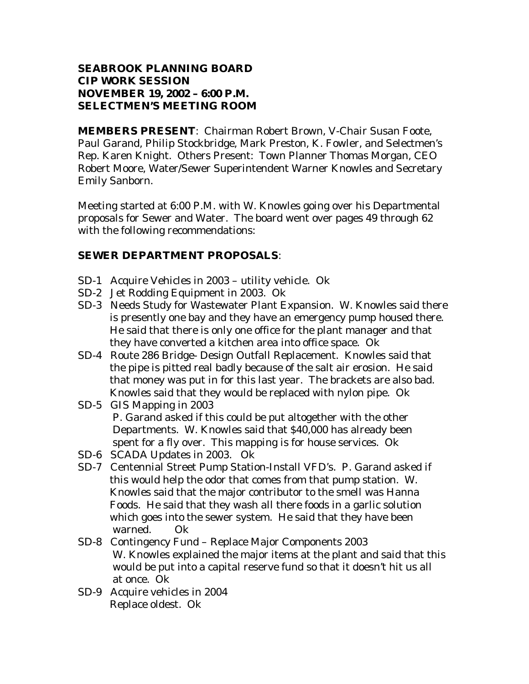## **SEABROOK PLANNING BOARD**  *CIP WORK SESSION*  **NOVEMBER 19, 2002 – 6:00 P.M. SELECTMEN'S MEETING ROOM**

**MEMBERS PRESENT**: Chairman Robert Brown, V-Chair Susan Foote, Paul Garand, Philip Stockbridge, Mark Preston, K. Fowler, and Selectmen's Rep. Karen Knight. Others Present: Town Planner Thomas Morgan, CEO Robert Moore, Water/Sewer Superintendent Warner Knowles and Secretary Emily Sanborn.

Meeting started at 6:00 P.M. with W. Knowles going over his Departmental proposals for Sewer and Water. The board went over pages 49 through 62 with the following recommendations:

# **SEWER DEPARTMENT PROPOSALS**:

- SD-1 Acquire Vehicles in 2003 utility vehicle. Ok
- SD-2 Jet Rodding Equipment in 2003. Ok
- SD-3 Needs Study for Wastewater Plant Expansion. W. Knowles said there is presently one bay and they have an emergency pump housed there. He said that there is only one office for the plant manager and that they have converted a kitchen area into office space. Ok
- SD-4 Route 286 Bridge- Design Outfall Replacement. Knowles said that the pipe is pitted real badly because of the salt air erosion. He said that money was put in for this last year. The brackets are also bad. Knowles said that they would be replaced with nylon pipe. Ok
- SD-5 GIS Mapping in 2003 P. Garand asked if this could be put altogether with the other Departments. W. Knowles said that \$40,000 has already been spent for a fly over. This mapping is for house services. Ok
- SD-6 SCADA Updates in 2003. Ok
- SD-7 Centennial Street Pump Station-Install VFD's. P. Garand asked if this would help the odor that comes from that pump station. W. Knowles said that the major contributor to the smell was Hanna Foods. He said that they wash all there foods in a garlic solution which goes into the sewer system. He said that they have been warned. Ok
- SD-8 Contingency Fund Replace Major Components 2003 W. Knowles explained the major items at the plant and said that this would be put into a capital reserve fund so that it doesn't hit us all at once. Ok
- SD-9 Acquire vehicles in 2004 Replace oldest. Ok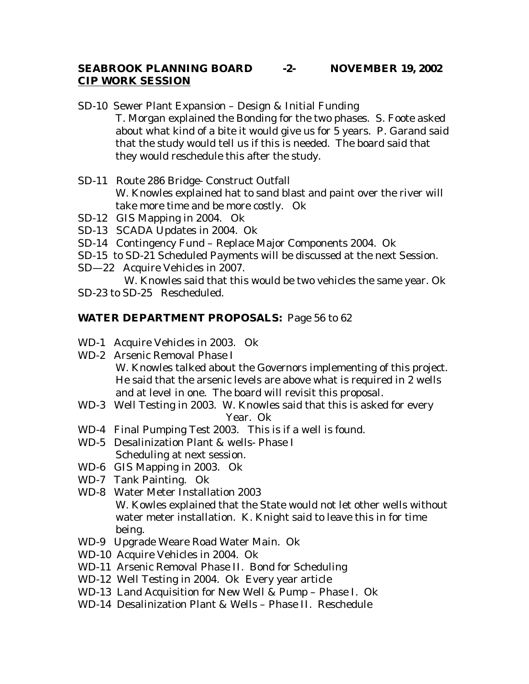#### **SEABROOK PLANNING BOARD -2- NOVEMBER 19, 2002 CIP WORK SESSION**

SD-10 Sewer Plant Expansion – Design & Initial Funding T. Morgan explained the Bonding for the two phases. S. Foote asked about what kind of a bite it would give us for 5 years. P. Garand said that the study would tell us if this is needed. The board said that they would reschedule this after the study.

- SD-11 Route 286 Bridge- Construct Outfall W. Knowles explained hat to sand blast and paint over the river will take more time and be more costly. Ok
- SD-12 GIS Mapping in 2004. Ok
- SD-13 SCADA Updates in 2004. Ok
- SD-14 Contingency Fund Replace Major Components 2004. Ok
- SD-15 to SD-21 Scheduled Payments will be discussed at the next Session.
- SD—22 Acquire Vehicles in 2007.

W. Knowles said that this would be two vehicles the same year. Ok

SD-23 to SD-25 Rescheduled.

# **WATER DEPARTMENT PROPOSALS:** Page 56 to 62

- WD-1 Acquire Vehicles in 2003. Ok
- WD-2 Arsenic Removal Phase I W. Knowles talked about the Governors implementing of this project. He said that the arsenic levels are above what is required in 2 wells and at level in one. The board will revisit this proposal.
- WD-3 Well Testing in 2003. W. Knowles said that this is asked for every Year. Ok
- WD-4 Final Pumping Test 2003. This is if a well is found.
- WD-5 Desalinization Plant & wells- Phase I Scheduling at next session.
- WD-6 GIS Mapping in 2003. Ok
- WD-7 Tank Painting. Ok
- WD-8 Water Meter Installation 2003 W. Kowles explained that the State would not let other wells without water meter installation. K. Knight said to leave this in for time being.
- WD-9 Upgrade Weare Road Water Main. Ok
- WD-10 Acquire Vehicles in 2004. Ok
- WD-11 Arsenic Removal Phase II. Bond for Scheduling
- WD-12 Well Testing in 2004. Ok Every year article
- WD-13 Land Acquisition for New Well & Pump Phase I. Ok
- WD-14 Desalinization Plant & Wells Phase II. Reschedule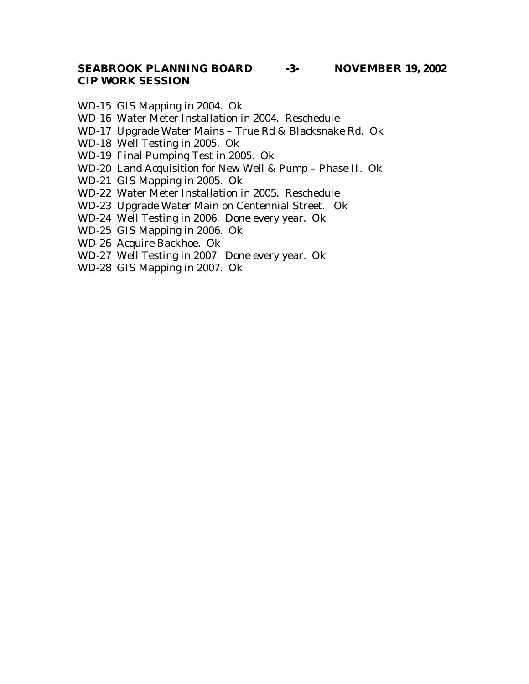## **SEABROOK PLANNING BOARD -3- NOVEMBER 19, 2002**  *CIP WORK SESSION*

- WD-15 GIS Mapping in 2004. Ok
- WD-16 Water Meter Installation in 2004. Reschedule
- WD-17 Upgrade Water Mains True Rd & Blacksnake Rd. Ok
- WD-18 Well Testing in 2005. Ok
- WD-19 Final Pumping Test in 2005. Ok
- WD-20 Land Acquisition for New Well & Pump Phase II. Ok
- WD-21 GIS Mapping in 2005. Ok
- WD-22 Water Meter Installation in 2005. Reschedule
- WD-23 Upgrade Water Main on Centennial Street. Ok
- WD-24 Well Testing in 2006. Done every year. Ok
- WD-25 GIS Mapping in 2006. Ok
- WD-26 Acquire Backhoe. Ok
- WD-27 Well Testing in 2007. Done every year. Ok
- WD-28 GIS Mapping in 2007. Ok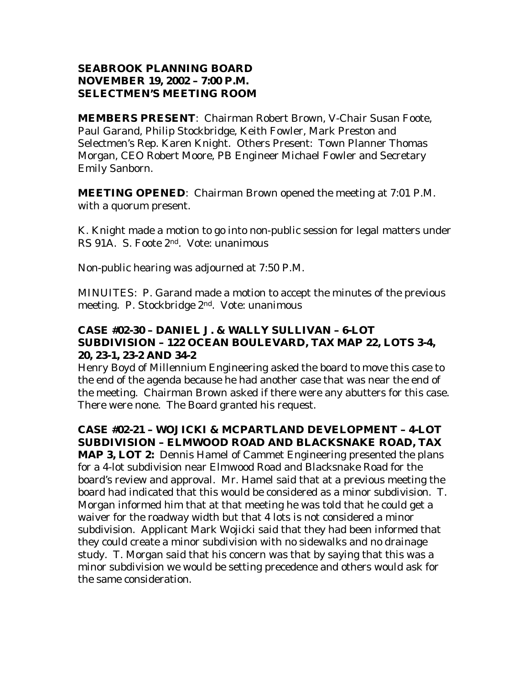## **SEABROOK PLANNING BOARD NOVEMBER 19, 2002 – 7:00 P.M. SELECTMEN'S MEETING ROOM**

**MEMBERS PRESENT**: Chairman Robert Brown, V-Chair Susan Foote, Paul Garand, Philip Stockbridge, Keith Fowler, Mark Preston and Selectmen's Rep. Karen Knight. Others Present: Town Planner Thomas Morgan, CEO Robert Moore, PB Engineer Michael Fowler and Secretary Emily Sanborn.

**MEETING OPENED:** Chairman Brown opened the meeting at 7:01 P.M. with a quorum present.

K. Knight made a motion to go into non-public session for legal matters under RS 91A. S. Foote 2nd. Vote: unanimous

Non-public hearing was adjourned at 7:50 P.M.

MINUITES: P. Garand made a motion to accept the minutes of the previous meeting. P. Stockbridge 2nd. Vote: unanimous

## **CASE #02-30 – DANIEL J. & WALLY SULLIVAN – 6-LOT SUBDIVISION – 122 OCEAN BOULEVARD, TAX MAP 22, LOTS 3-4, 20, 23-1, 23-2 AND 34-2**

Henry Boyd of Millennium Engineering asked the board to move this case to the end of the agenda because he had another case that was near the end of the meeting. Chairman Brown asked if there were any abutters for this case. There were none. The Board granted his request.

# **CASE #02-21 – WOJICKI & MCPARTLAND DEVELOPMENT – 4-LOT SUBDIVISION – ELMWOOD ROAD AND BLACKSNAKE ROAD, TAX**

**MAP 3, LOT 2:** Dennis Hamel of Cammet Engineering presented the plans for a 4-lot subdivision near Elmwood Road and Blacksnake Road for the board's review and approval. Mr. Hamel said that at a previous meeting the board had indicated that this would be considered as a minor subdivision. T. Morgan informed him that at that meeting he was told that he could get a waiver for the roadway width but that 4 lots is not considered a minor subdivision. Applicant Mark Wojicki said that they had been informed that they could create a minor subdivision with no sidewalks and no drainage study. T. Morgan said that his concern was that by saying that this was a minor subdivision we would be setting precedence and others would ask for the same consideration.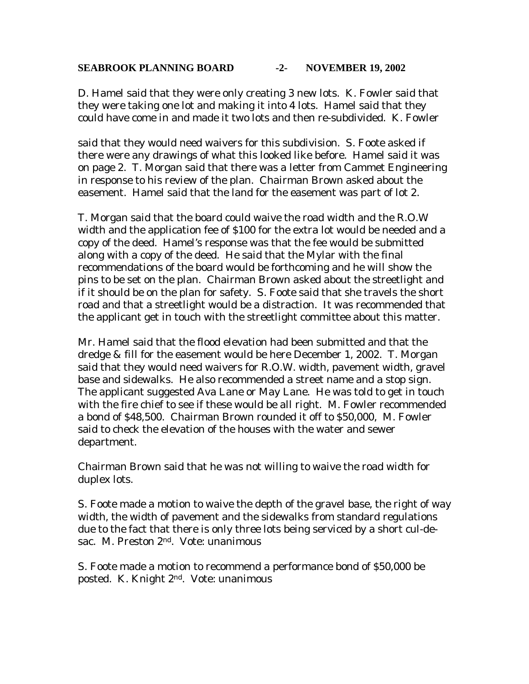#### **SEABROOK PLANNING BOARD -2- NOVEMBER 19, 2002**

D. Hamel said that they were only creating 3 new lots. K. Fowler said that they were taking one lot and making it into 4 lots. Hamel said that they could have come in and made it two lots and then re-subdivided. K. Fowler

said that they would need waivers for this subdivision. S. Foote asked if there were any drawings of what this looked like before. Hamel said it was on page 2. T. Morgan said that there was a letter from Cammet Engineering in response to his review of the plan. Chairman Brown asked about the easement. Hamel said that the land for the easement was part of lot 2.

T. Morgan said that the board could waive the road width and the R.O.W width and the application fee of \$100 for the extra lot would be needed and a copy of the deed. Hamel's response was that the fee would be submitted along with a copy of the deed. He said that the Mylar with the final recommendations of the board would be forthcoming and he will show the pins to be set on the plan. Chairman Brown asked about the streetlight and if it should be on the plan for safety. S. Foote said that she travels the short road and that a streetlight would be a distraction. It was recommended that the applicant get in touch with the streetlight committee about this matter.

Mr. Hamel said that the flood elevation had been submitted and that the dredge & fill for the easement would be here December 1, 2002. T. Morgan said that they would need waivers for R.O.W. width, pavement width, gravel base and sidewalks. He also recommended a street name and a stop sign. The applicant suggested Ava Lane or May Lane. He was told to get in touch with the fire chief to see if these would be all right. M. Fowler recommended a bond of \$48,500. Chairman Brown rounded it off to \$50,000, M. Fowler said to check the elevation of the houses with the water and sewer department.

Chairman Brown said that he was not willing to waive the road width for duplex lots.

S. Foote made a motion to waive the depth of the gravel base, the right of way width, the width of pavement and the sidewalks from standard regulations due to the fact that there is only three lots being serviced by a short cul-desac. M. Preston 2<sup>nd</sup>. Vote: unanimous

S. Foote made a motion to recommend a performance bond of \$50,000 be posted. K. Knight 2nd. Vote: unanimous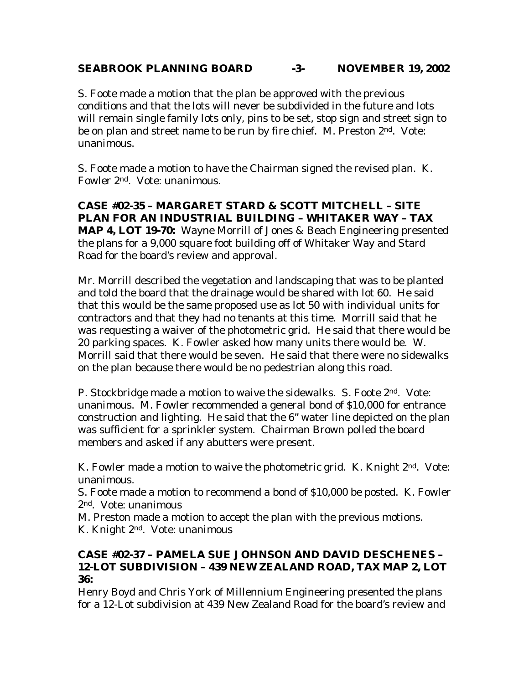## **SEABROOK PLANNING BOARD -3- NOVEMBER 19, 2002**

S. Foote made a motion that the plan be approved with the previous conditions and that the lots will never be subdivided in the future and lots will remain single family lots only, pins to be set, stop sign and street sign to be on plan and street name to be run by fire chief. M. Preston 2<sup>nd</sup>. Vote: unanimous.

S. Foote made a motion to have the Chairman signed the revised plan. K. Fowler 2nd. Vote: unanimous.

**CASE #02-35 – MARGARET STARD & SCOTT MITCHELL – SITE PLAN FOR AN INDUSTRIAL BUILDING – WHITAKER WAY – TAX MAP 4, LOT 19-70:** Wayne Morrill of Jones & Beach Engineering presented the plans for a 9,000 square foot building off of Whitaker Way and Stard Road for the board's review and approval.

Mr. Morrill described the vegetation and landscaping that was to be planted and told the board that the drainage would be shared with lot 60. He said that this would be the same proposed use as lot 50 with individual units for contractors and that they had no tenants at this time. Morrill said that he was requesting a waiver of the photometric grid. He said that there would be 20 parking spaces. K. Fowler asked how many units there would be. W. Morrill said that there would be seven. He said that there were no sidewalks on the plan because there would be no pedestrian along this road.

P. Stockbridge made a motion to waive the sidewalks. S. Foote 2<sup>nd</sup>. Vote: unanimous. M. Fowler recommended a general bond of \$10,000 for entrance construction and lighting. He said that the 6" water line depicted on the plan was sufficient for a sprinkler system. Chairman Brown polled the board members and asked if any abutters were present.

K. Fowler made a motion to waive the photometric grid. K. Knight 2<sup>nd</sup>. Vote: unanimous.

S. Foote made a motion to recommend a bond of \$10,000 be posted. K. Fowler 2nd. Vote: unanimous

M. Preston made a motion to accept the plan with the previous motions. K. Knight 2nd. Vote: unanimous

## **CASE #02-37 – PAMELA SUE JOHNSON AND DAVID DESCHENES – 12-LOT SUBDIVISION – 439 NEW ZEALAND ROAD, TAX MAP 2, LOT 36:**

Henry Boyd and Chris York of Millennium Engineering presented the plans for a 12-Lot subdivision at 439 New Zealand Road for the board's review and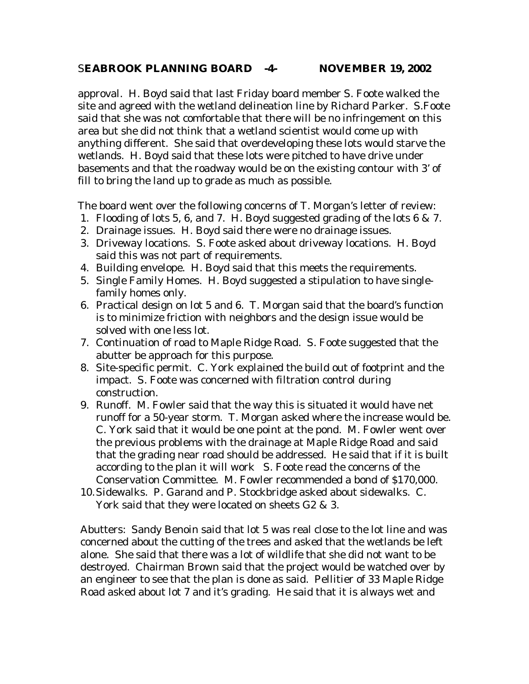#### S**EABROOK PLANNING BOARD -4- NOVEMBER 19, 2002**

approval. H. Boyd said that last Friday board member S. Foote walked the site and agreed with the wetland delineation line by Richard Parker. S.Foote said that she was not comfortable that there will be no infringement on this area but she did not think that a wetland scientist would come up with anything different. She said that overdeveloping these lots would starve the wetlands. H. Boyd said that these lots were pitched to have drive under basements and that the roadway would be on the existing contour with 3' of fill to bring the land up to grade as much as possible.

The board went over the following concerns of T. Morgan's letter of review:

- 1. Flooding of lots 5, 6, and 7. H. Boyd suggested grading of the lots 6 & 7.
- 2. Drainage issues. H. Boyd said there were no drainage issues.
- 3. Driveway locations. S. Foote asked about driveway locations. H. Boyd said this was not part of requirements.
- 4. Building envelope. H. Boyd said that this meets the requirements.
- 5. Single Family Homes. H. Boyd suggested a stipulation to have singlefamily homes only.
- 6. Practical design on lot 5 and 6. T. Morgan said that the board's function is to minimize friction with neighbors and the design issue would be solved with one less lot.
- 7. Continuation of road to Maple Ridge Road. S. Foote suggested that the abutter be approach for this purpose.
- 8. Site-specific permit. C. York explained the build out of footprint and the impact. S. Foote was concerned with filtration control during construction.
- 9. Runoff. M. Fowler said that the way this is situated it would have net runoff for a 50-year storm. T. Morgan asked where the increase would be. C. York said that it would be one point at the pond. M. Fowler went over the previous problems with the drainage at Maple Ridge Road and said that the grading near road should be addressed. He said that if it is built according to the plan it will work S. Foote read the concerns of the Conservation Committee. M. Fowler recommended a bond of \$170,000.
- 10. Sidewalks. P. Garand and P. Stockbridge asked about sidewalks. C. York said that they were located on sheets G2 & 3.

Abutters: Sandy Benoin said that lot 5 was real close to the lot line and was concerned about the cutting of the trees and asked that the wetlands be left alone. She said that there was a lot of wildlife that she did not want to be destroyed. Chairman Brown said that the project would be watched over by an engineer to see that the plan is done as said. Pellitier of 33 Maple Ridge Road asked about lot 7 and it's grading. He said that it is always wet and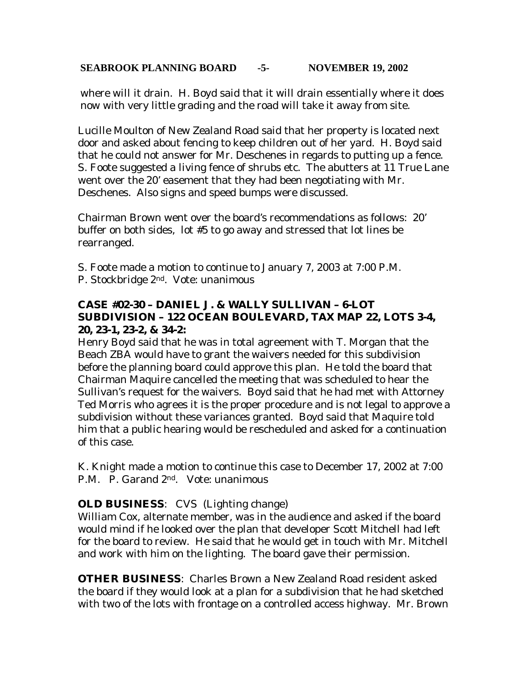#### **SEABROOK PLANNING BOARD -5- NOVEMBER 19, 2002**

where will it drain. H. Boyd said that it will drain essentially where it does now with very little grading and the road will take it away from site.

Lucille Moulton of New Zealand Road said that her property is located next door and asked about fencing to keep children out of her yard. H. Boyd said that he could not answer for Mr. Deschenes in regards to putting up a fence. S. Foote suggested a living fence of shrubs etc. The abutters at 11 True Lane went over the 20' easement that they had been negotiating with Mr. Deschenes. Also signs and speed bumps were discussed.

Chairman Brown went over the board's recommendations as follows: 20' buffer on both sides, lot #5 to go away and stressed that lot lines be rearranged.

S. Foote made a motion to continue to January 7, 2003 at 7:00 P.M. P. Stockbridge 2<sup>nd</sup>. Vote: unanimous

# **CASE #02-30 – DANIEL J. & WALLY SULLIVAN – 6-LOT SUBDIVISION – 122 OCEAN BOULEVARD, TAX MAP 22, LOTS 3-4, 20, 23-1, 23-2, & 34-2:**

Henry Boyd said that he was in total agreement with T. Morgan that the Beach ZBA would have to grant the waivers needed for this subdivision before the planning board could approve this plan. He told the board that Chairman Maquire cancelled the meeting that was scheduled to hear the Sullivan's request for the waivers. Boyd said that he had met with Attorney Ted Morris who agrees it is the proper procedure and is not legal to approve a subdivision without these variances granted. Boyd said that Maquire told him that a public hearing would be rescheduled and asked for a continuation of this case.

K. Knight made a motion to continue this case to December 17, 2002 at 7:00 P.M. P. Garand 2nd. Vote: unanimous

# **OLD BUSINESS**: CVS (Lighting change)

William Cox, alternate member, was in the audience and asked if the board would mind if he looked over the plan that developer Scott Mitchell had left for the board to review. He said that he would get in touch with Mr. Mitchell and work with him on the lighting. The board gave their permission.

**OTHER BUSINESS**: Charles Brown a New Zealand Road resident asked the board if they would look at a plan for a subdivision that he had sketched with two of the lots with frontage on a controlled access highway. Mr. Brown